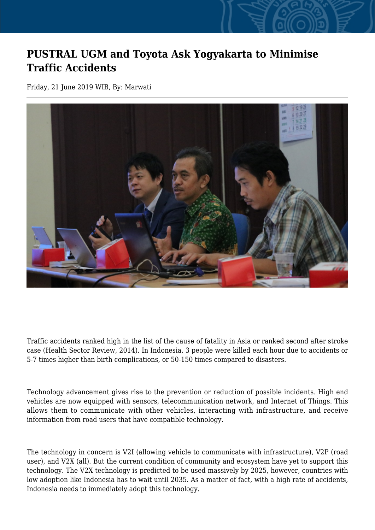## **PUSTRAL UGM and Toyota Ask Yogyakarta to Minimise Traffic Accidents**

Friday, 21 June 2019 WIB, By: Marwati



Traffic accidents ranked high in the list of the cause of fatality in Asia or ranked second after stroke case (Health Sector Review, 2014). In Indonesia, 3 people were killed each hour due to accidents or 5-7 times higher than birth complications, or 50-150 times compared to disasters.

Technology advancement gives rise to the prevention or reduction of possible incidents. High end vehicles are now equipped with sensors, telecommunication network, and Internet of Things. This allows them to communicate with other vehicles, interacting with infrastructure, and receive information from road users that have compatible technology.

The technology in concern is V2I (allowing vehicle to communicate with infrastructure), V2P (road user), and V2X (all). But the current condition of community and ecosystem have yet to support this technology. The V2X technology is predicted to be used massively by 2025, however, countries with low adoption like Indonesia has to wait until 2035. As a matter of fact, with a high rate of accidents, Indonesia needs to immediately adopt this technology.